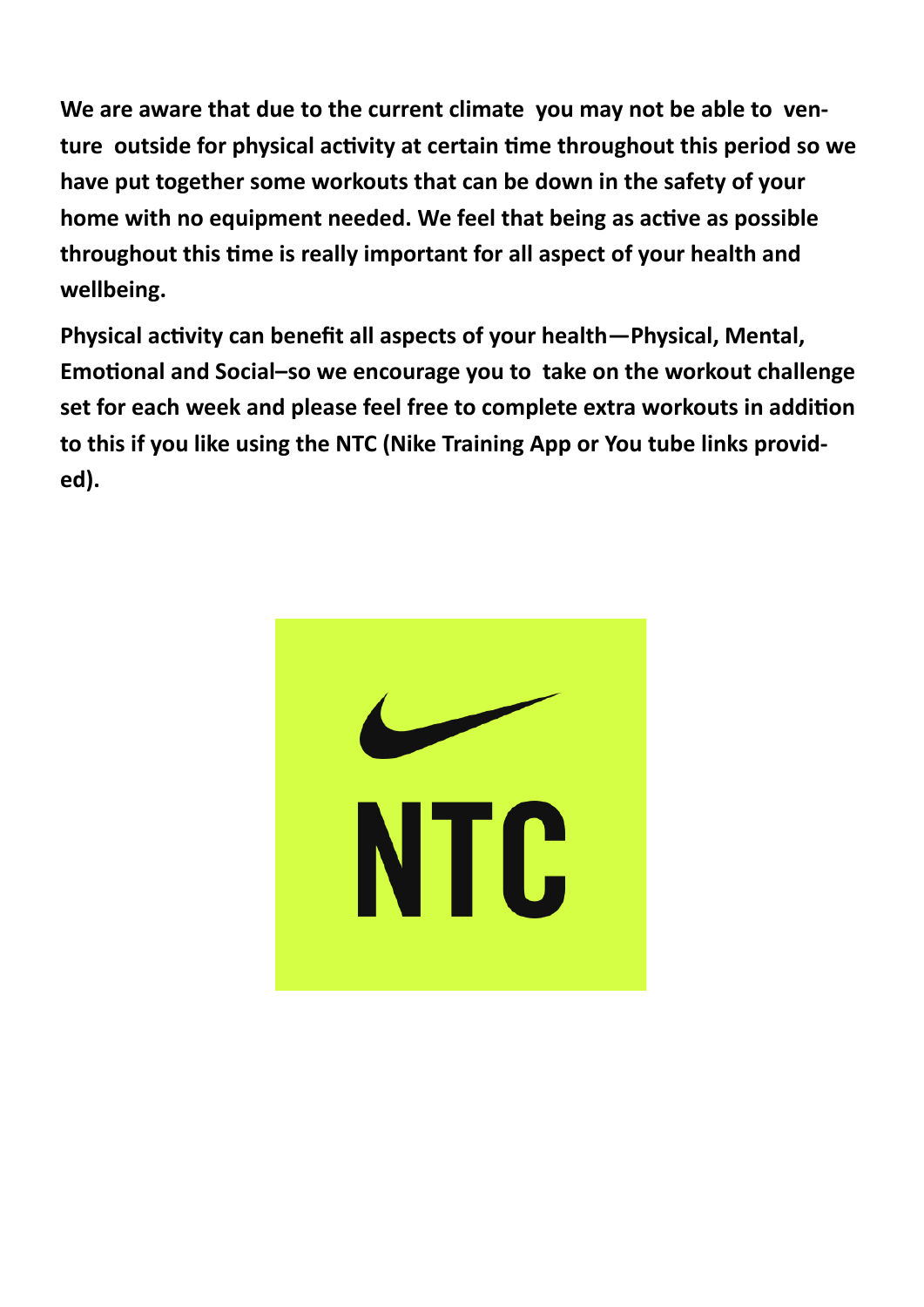**We are aware that due to the current climate you may not be able to venture outside for physical activity at certain time throughout this period so we have put together some workouts that can be down in the safety of your home with no equipment needed. We feel that being as active as possible throughout this time is really important for all aspect of your health and wellbeing.**

**Physical activity can benefit all aspects of your health—Physical, Mental, Emotional and Social–so we encourage you to take on the workout challenge set for each week and please feel free to complete extra workouts in addition to this if you like using the NTC (Nike Training App or You tube links provided).**

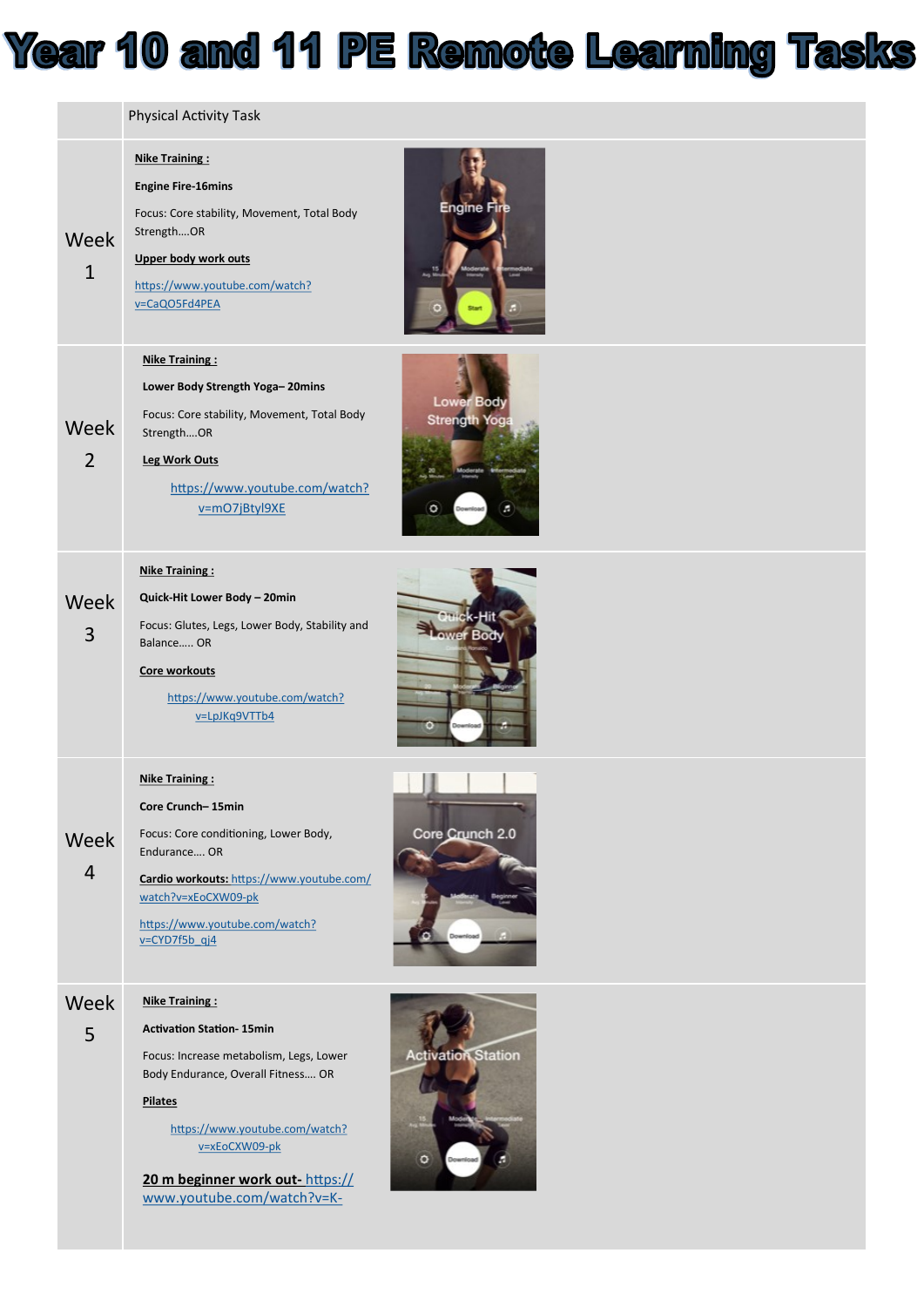

|                        | <b>Physical Activity Task</b>                                                                                                                                                                                                                                                   |                                         |
|------------------------|---------------------------------------------------------------------------------------------------------------------------------------------------------------------------------------------------------------------------------------------------------------------------------|-----------------------------------------|
| Week<br>$\mathbf{1}$   | <b>Nike Training:</b><br><b>Engine Fire-16mins</b><br>Focus: Core stability, Movement, Total Body<br>StrengthOR<br>Upper body work outs<br>https://www.youtube.com/watch?<br>v=CaQO5Fd4PEA                                                                                      | Engine Fire                             |
| Week<br>$\overline{2}$ | <b>Nike Training:</b><br>Lower Body Strength Yoga-20mins<br>Focus: Core stability, Movement, Total Body<br>StrengthOR<br>Leg Work Outs<br>https://www.youtube.com/watch?<br>v=mO7jBtyl9XE                                                                                       | Lower Body<br><b>Strength Yoga</b><br>٥ |
| Week<br>3              | <b>Nike Training:</b><br>Quick-Hit Lower Body - 20min<br>Focus: Glutes, Legs, Lower Body, Stability and<br>Balance OR<br>Core workouts<br>https://www.youtube.com/watch?<br>v=LpJKq9VTTb4                                                                                       |                                         |
| Week<br>$\overline{4}$ | <b>Nike Training:</b><br>Core Crunch-15min<br>Focus: Core conditioning, Lower Body,<br>Endurance OR<br>Cardio workouts: https://www.youtube.com/<br>watch?v=xEoCXW09-pk<br>https://www.youtube.com/watch?<br>v=CYD7f5b qj4                                                      | Core Crunch 2.0                         |
| Week<br>5              | <b>Nike Training:</b><br><b>Activation Station-15min</b><br>Focus: Increase metabolism, Legs, Lower<br>Body Endurance, Overall Fitness OR<br><b>Pilates</b><br>https://www.youtube.com/watch?<br>v=xEoCXW09-pk<br>20 m beginner work out-https://<br>www.youtube.com/watch?v=K- | <b>Activation Station</b><br>۰          |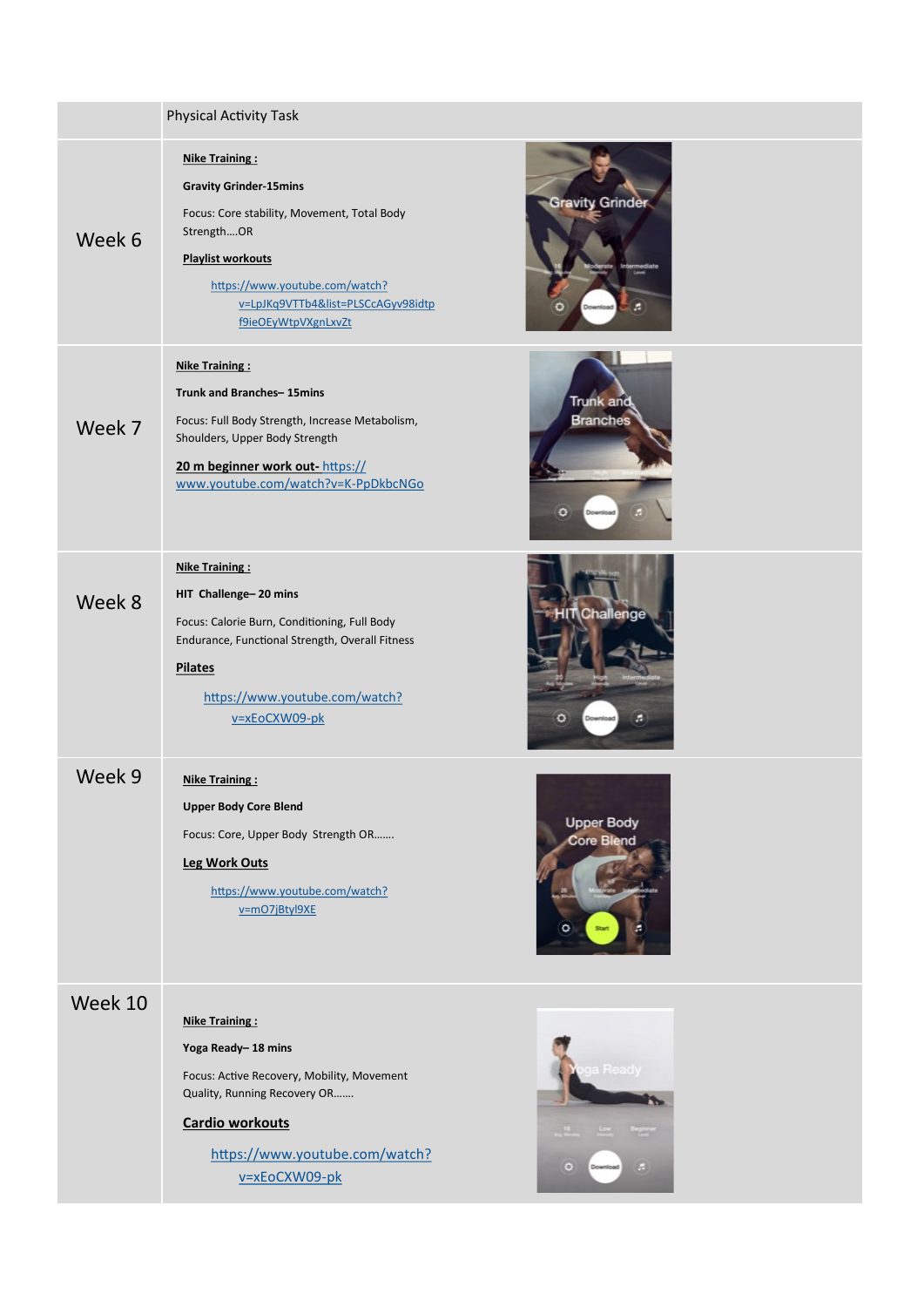|         | <b>Physical Activity Task</b>                                                                                                                                                                                                                                            |   |
|---------|--------------------------------------------------------------------------------------------------------------------------------------------------------------------------------------------------------------------------------------------------------------------------|---|
| Week 6  | <b>Nike Training:</b><br><b>Gravity Grinder-15mins</b><br><b>Gravity Grinder</b><br>Focus: Core stability, Movement, Total Body<br>StrengthOR<br><b>Playlist workouts</b><br>https://www.youtube.com/watch?<br>v=LpJKq9VTTb4&list=PLSCcAGyv98idtp<br>f9ieOEyWtpVXgnLxvZt |   |
| Week 7  | Nike Training:<br>Trunk and Branches-15mins<br><b>Trunk and</b><br><b>Branches</b><br>Focus: Full Body Strength, Increase Metabolism,<br>Shoulders, Upper Body Strength<br>20 m beginner work out-https://<br>www.youtube.com/watch?v=K-PpDkbcNGo                        |   |
| Week 8  | <b>Nike Training:</b><br>HIT Challenge-20 mins<br>Inallenge<br>Focus: Calorie Burn, Conditioning, Full Body<br>Endurance, Functional Strength, Overall Fitness<br><b>Pilates</b><br>https://www.youtube.com/watch?<br>v=xEoCXW09-pk                                      |   |
| Week 9  | <b>Nike Training:</b><br><b>Upper Body Core Blend</b><br><b>Upper Body</b><br>Focus: Core, Upper Body Strength OR<br><b>Core Blend</b><br>Leg Work Outs<br>https://www.youtube.com/watch?<br>v=mO7jBtyl9XE<br>o                                                          |   |
| Week 10 | <b>Nike Training:</b><br>Yoga Ready-18 mins<br>Focus: Active Recovery, Mobility, Movement<br>Quality, Running Recovery OR<br><b>Cardio workouts</b><br>https://www.youtube.com/watch?<br>۰<br>v=xEoCXW09-pk                                                              | ы |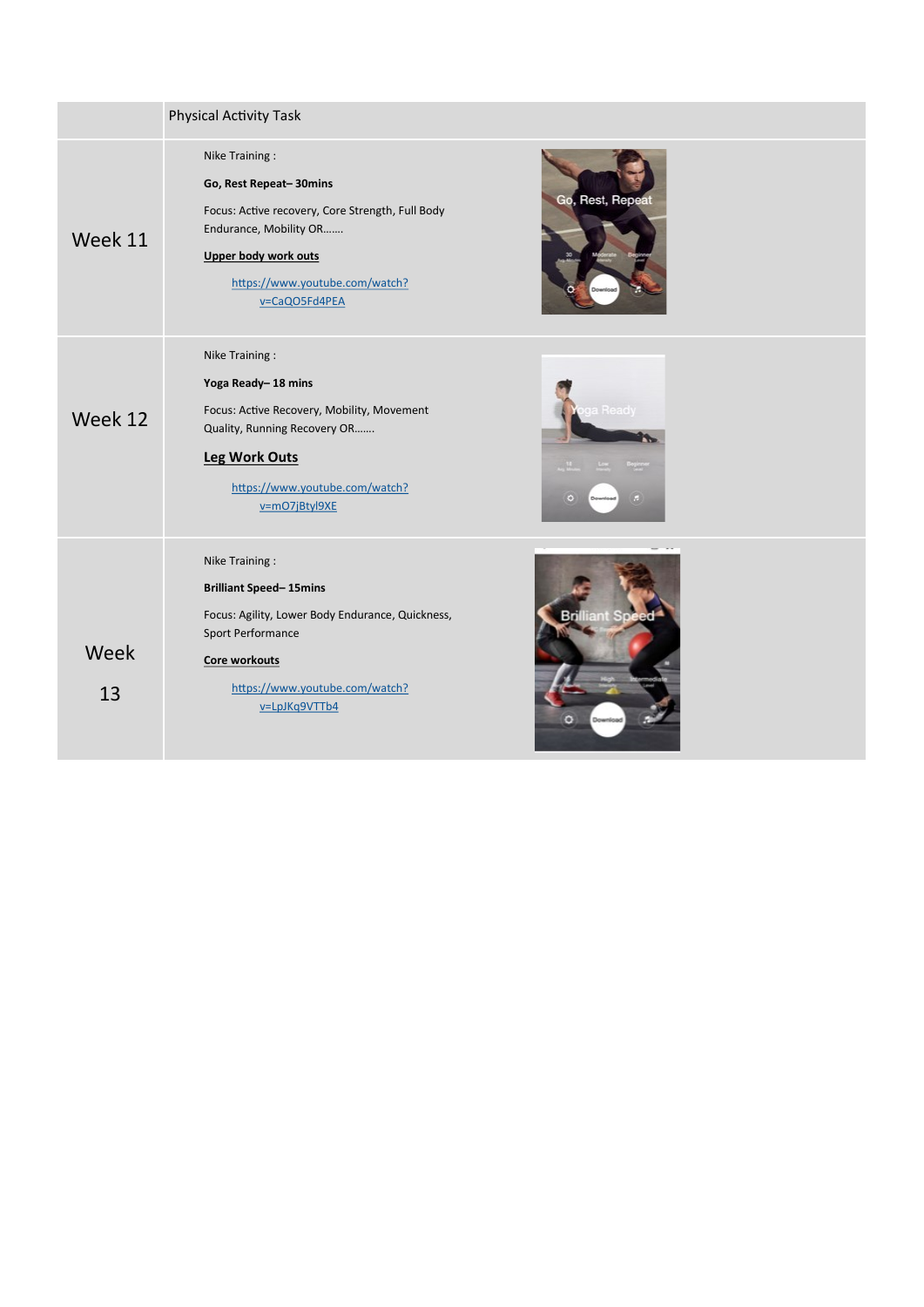|            | <b>Physical Activity Task</b>                                                                                                                                                                     |                 |
|------------|---------------------------------------------------------------------------------------------------------------------------------------------------------------------------------------------------|-----------------|
| Week 11    | Nike Training:<br>Go, Rest Repeat-30mins<br>Focus: Active recovery, Core Strength, Full Body<br>Endurance, Mobility OR<br>Upper body work outs<br>https://www.youtube.com/watch?<br>v=CaQO5Fd4PEA | Go, Rest, Repea |
| Week 12    | Nike Training:<br>Yoga Ready-18 mins<br>Focus: Active Recovery, Mobility, Movement<br>Quality, Running Recovery OR<br><b>Leg Work Outs</b><br>https://www.youtube.com/watch?<br>v=mO7jBtyl9XE     | œ               |
| Week<br>13 | Nike Training:<br><b>Brilliant Speed-15mins</b><br>Focus: Agility, Lower Body Endurance, Quickness,<br>Sport Performance<br>Core workouts<br>https://www.youtube.com/watch?<br>v=LpJKq9VTTb4      |                 |